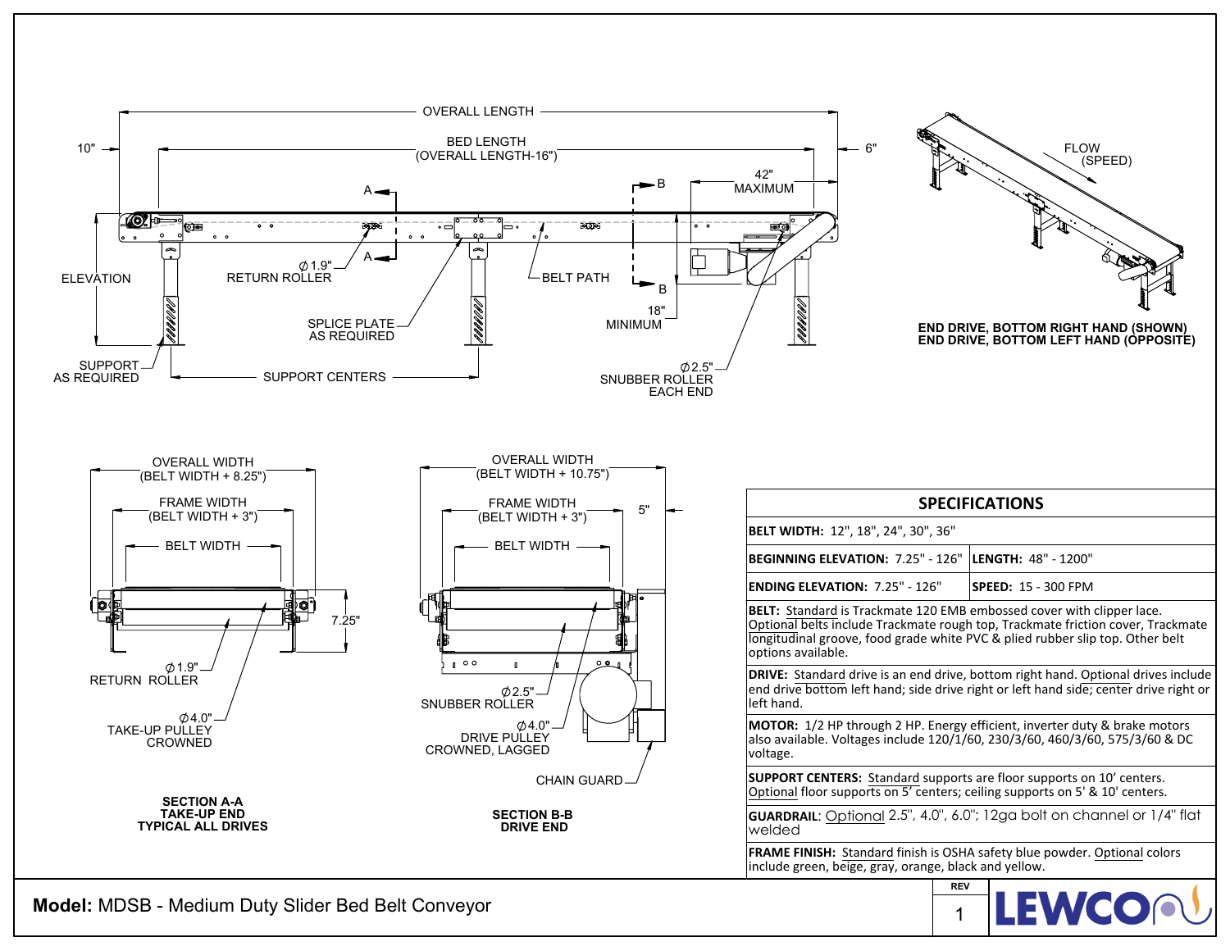

**Model:** MDSB - Medium Duty Slider Bed Belt Conveyor

**LEWCO** 1